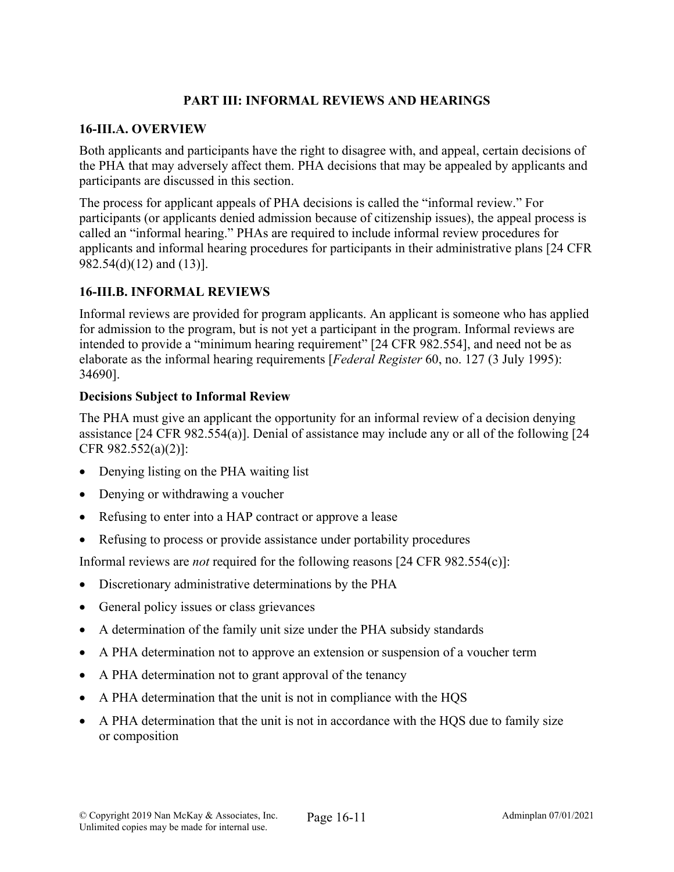## **PART III: INFORMAL REVIEWS AND HEARINGS**

### **16-III.A. OVERVIEW**

Both applicants and participants have the right to disagree with, and appeal, certain decisions of the PHA that may adversely affect them. PHA decisions that may be appealed by applicants and participants are discussed in this section.

The process for applicant appeals of PHA decisions is called the "informal review." For participants (or applicants denied admission because of citizenship issues), the appeal process is called an "informal hearing." PHAs are required to include informal review procedures for applicants and informal hearing procedures for participants in their administrative plans [24 CFR 982.54(d)(12) and (13)].

## **16-III.B. INFORMAL REVIEWS**

Informal reviews are provided for program applicants. An applicant is someone who has applied for admission to the program, but is not yet a participant in the program. Informal reviews are intended to provide a "minimum hearing requirement" [24 CFR 982.554], and need not be as elaborate as the informal hearing requirements [*Federal Register* 60, no. 127 (3 July 1995): 34690].

## **Decisions Subject to Informal Review**

The PHA must give an applicant the opportunity for an informal review of a decision denying assistance [24 CFR 982.554(a)]. Denial of assistance may include any or all of the following [24 CFR 982.552(a)(2)]:

- Denying listing on the PHA waiting list
- Denying or withdrawing a voucher
- Refusing to enter into a HAP contract or approve a lease
- Refusing to process or provide assistance under portability procedures

Informal reviews are *not* required for the following reasons [24 CFR 982.554(c)]:

- Discretionary administrative determinations by the PHA
- General policy issues or class grievances
- A determination of the family unit size under the PHA subsidy standards
- A PHA determination not to approve an extension or suspension of a voucher term
- A PHA determination not to grant approval of the tenancy
- A PHA determination that the unit is not in compliance with the HQS
- A PHA determination that the unit is not in accordance with the HQS due to family size or composition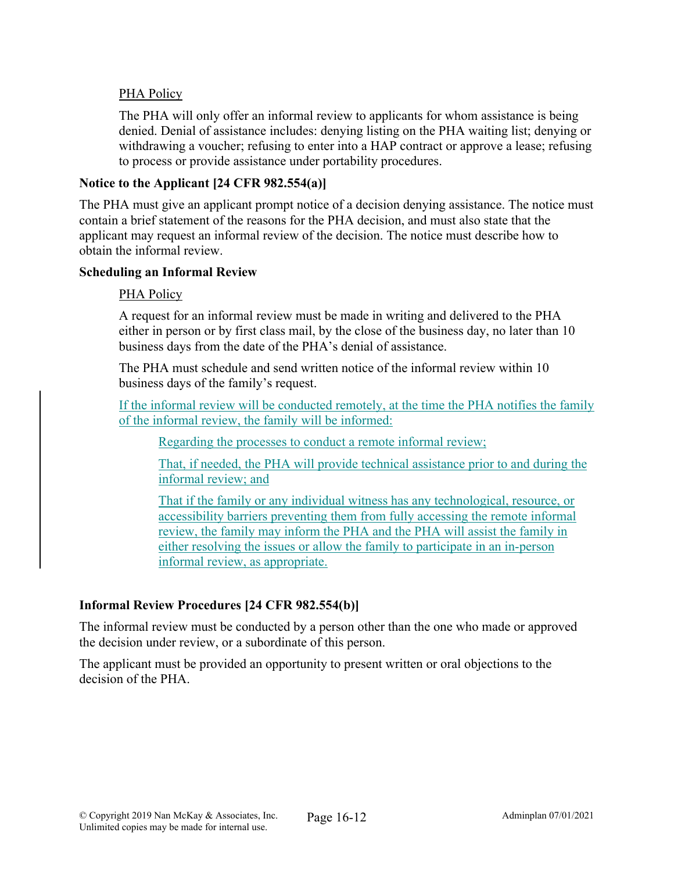## PHA Policy

The PHA will only offer an informal review to applicants for whom assistance is being denied. Denial of assistance includes: denying listing on the PHA waiting list; denying or withdrawing a voucher; refusing to enter into a HAP contract or approve a lease; refusing to process or provide assistance under portability procedures.

## **Notice to the Applicant [24 CFR 982.554(a)]**

The PHA must give an applicant prompt notice of a decision denying assistance. The notice must contain a brief statement of the reasons for the PHA decision, and must also state that the applicant may request an informal review of the decision. The notice must describe how to obtain the informal review.

### **Scheduling an Informal Review**

## PHA Policy

A request for an informal review must be made in writing and delivered to the PHA either in person or by first class mail, by the close of the business day, no later than 10 business days from the date of the PHA's denial of assistance.

The PHA must schedule and send written notice of the informal review within 10 business days of the family's request.

If the informal review will be conducted remotely, at the time the PHA notifies the family of the informal review, the family will be informed:

Regarding the processes to conduct a remote informal review;

That, if needed, the PHA will provide technical assistance prior to and during the informal review; and

That if the family or any individual witness has any technological, resource, or accessibility barriers preventing them from fully accessing the remote informal review, the family may inform the PHA and the PHA will assist the family in either resolving the issues or allow the family to participate in an in-person informal review, as appropriate.

## **Informal Review Procedures [24 CFR 982.554(b)]**

The informal review must be conducted by a person other than the one who made or approved the decision under review, or a subordinate of this person.

The applicant must be provided an opportunity to present written or oral objections to the decision of the PHA.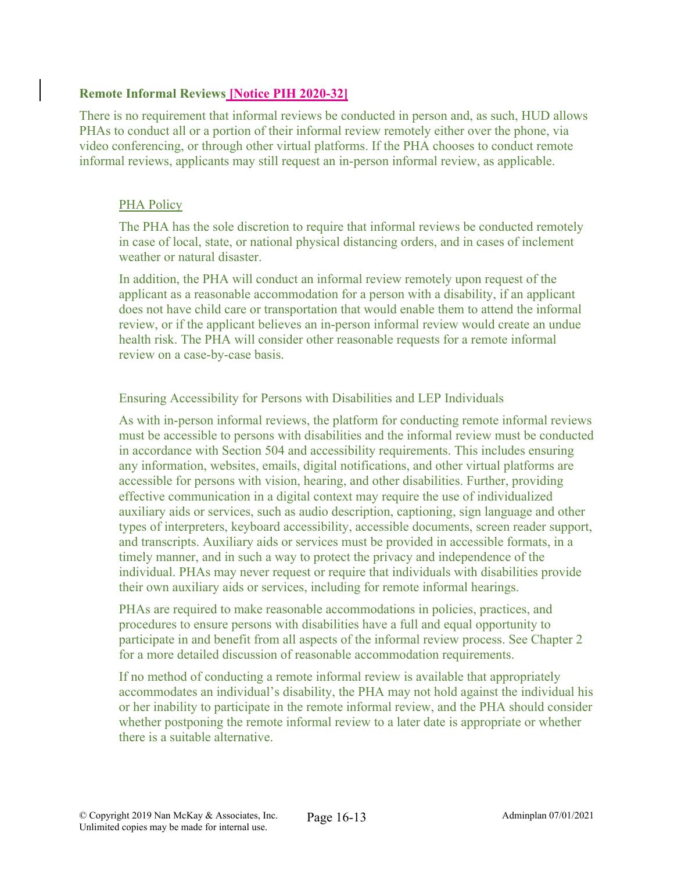### **Remote Informal Reviews [Notice PIH 2020-32]**

There is no requirement that informal reviews be conducted in person and, as such, HUD allows PHAs to conduct all or a portion of their informal review remotely either over the phone, via video conferencing, or through other virtual platforms. If the PHA chooses to conduct remote informal reviews, applicants may still request an in-person informal review, as applicable.

#### PHA Policy

The PHA has the sole discretion to require that informal reviews be conducted remotely in case of local, state, or national physical distancing orders, and in cases of inclement weather or natural disaster.

In addition, the PHA will conduct an informal review remotely upon request of the applicant as a reasonable accommodation for a person with a disability, if an applicant does not have child care or transportation that would enable them to attend the informal review, or if the applicant believes an in-person informal review would create an undue health risk. The PHA will consider other reasonable requests for a remote informal review on a case-by-case basis.

#### Ensuring Accessibility for Persons with Disabilities and LEP Individuals

As with in-person informal reviews, the platform for conducting remote informal reviews must be accessible to persons with disabilities and the informal review must be conducted in accordance with Section 504 and accessibility requirements. This includes ensuring any information, websites, emails, digital notifications, and other virtual platforms are accessible for persons with vision, hearing, and other disabilities. Further, providing effective communication in a digital context may require the use of individualized auxiliary aids or services, such as audio description, captioning, sign language and other types of interpreters, keyboard accessibility, accessible documents, screen reader support, and transcripts. Auxiliary aids or services must be provided in accessible formats, in a timely manner, and in such a way to protect the privacy and independence of the individual. PHAs may never request or require that individuals with disabilities provide their own auxiliary aids or services, including for remote informal hearings.

PHAs are required to make reasonable accommodations in policies, practices, and procedures to ensure persons with disabilities have a full and equal opportunity to participate in and benefit from all aspects of the informal review process. See Chapter 2 for a more detailed discussion of reasonable accommodation requirements.

If no method of conducting a remote informal review is available that appropriately accommodates an individual's disability, the PHA may not hold against the individual his or her inability to participate in the remote informal review, and the PHA should consider whether postponing the remote informal review to a later date is appropriate or whether there is a suitable alternative.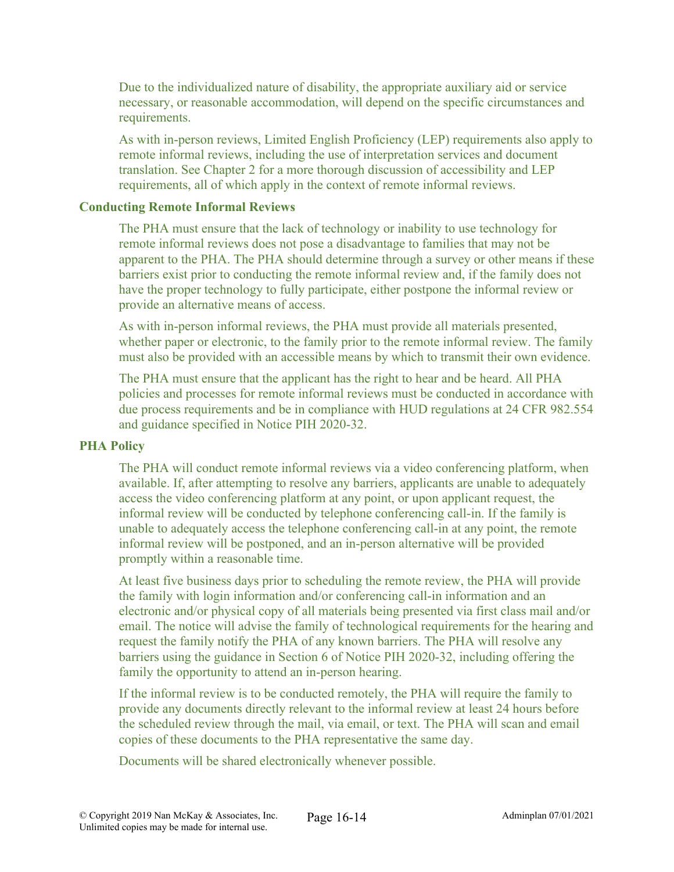Due to the individualized nature of disability, the appropriate auxiliary aid or service necessary, or reasonable accommodation, will depend on the specific circumstances and requirements.

As with in-person reviews, Limited English Proficiency (LEP) requirements also apply to remote informal reviews, including the use of interpretation services and document translation. See Chapter 2 for a more thorough discussion of accessibility and LEP requirements, all of which apply in the context of remote informal reviews.

#### **Conducting Remote Informal Reviews**

The PHA must ensure that the lack of technology or inability to use technology for remote informal reviews does not pose a disadvantage to families that may not be apparent to the PHA. The PHA should determine through a survey or other means if these barriers exist prior to conducting the remote informal review and, if the family does not have the proper technology to fully participate, either postpone the informal review or provide an alternative means of access.

As with in-person informal reviews, the PHA must provide all materials presented, whether paper or electronic, to the family prior to the remote informal review. The family must also be provided with an accessible means by which to transmit their own evidence.

The PHA must ensure that the applicant has the right to hear and be heard. All PHA policies and processes for remote informal reviews must be conducted in accordance with due process requirements and be in compliance with HUD regulations at 24 CFR 982.554 and guidance specified in Notice PIH 2020-32.

#### **PHA Policy**

The PHA will conduct remote informal reviews via a video conferencing platform, when available. If, after attempting to resolve any barriers, applicants are unable to adequately access the video conferencing platform at any point, or upon applicant request, the informal review will be conducted by telephone conferencing call-in. If the family is unable to adequately access the telephone conferencing call-in at any point, the remote informal review will be postponed, and an in-person alternative will be provided promptly within a reasonable time.

At least five business days prior to scheduling the remote review, the PHA will provide the family with login information and/or conferencing call-in information and an electronic and/or physical copy of all materials being presented via first class mail and/or email. The notice will advise the family of technological requirements for the hearing and request the family notify the PHA of any known barriers. The PHA will resolve any barriers using the guidance in Section 6 of Notice PIH 2020-32, including offering the family the opportunity to attend an in-person hearing.

If the informal review is to be conducted remotely, the PHA will require the family to provide any documents directly relevant to the informal review at least 24 hours before the scheduled review through the mail, via email, or text. The PHA will scan and email copies of these documents to the PHA representative the same day.

Documents will be shared electronically whenever possible.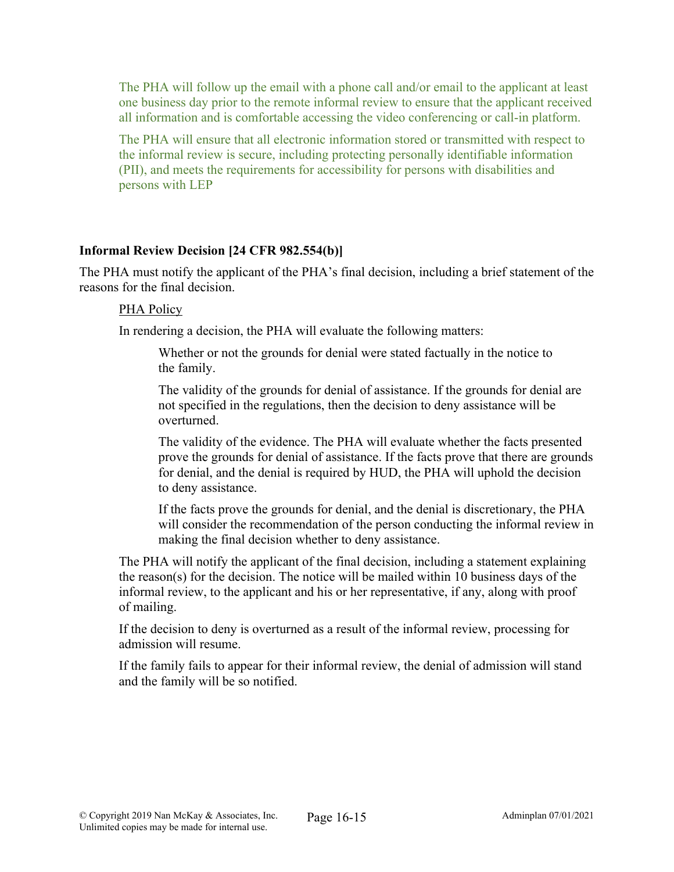The PHA will follow up the email with a phone call and/or email to the applicant at least one business day prior to the remote informal review to ensure that the applicant received all information and is comfortable accessing the video conferencing or call-in platform.

The PHA will ensure that all electronic information stored or transmitted with respect to the informal review is secure, including protecting personally identifiable information (PII), and meets the requirements for accessibility for persons with disabilities and persons with LEP

## **Informal Review Decision [24 CFR 982.554(b)]**

The PHA must notify the applicant of the PHA's final decision, including a brief statement of the reasons for the final decision.

#### PHA Policy

In rendering a decision, the PHA will evaluate the following matters:

Whether or not the grounds for denial were stated factually in the notice to the family.

The validity of the grounds for denial of assistance. If the grounds for denial are not specified in the regulations, then the decision to deny assistance will be overturned.

The validity of the evidence. The PHA will evaluate whether the facts presented prove the grounds for denial of assistance. If the facts prove that there are grounds for denial, and the denial is required by HUD, the PHA will uphold the decision to deny assistance.

If the facts prove the grounds for denial, and the denial is discretionary, the PHA will consider the recommendation of the person conducting the informal review in making the final decision whether to deny assistance.

The PHA will notify the applicant of the final decision, including a statement explaining the reason(s) for the decision. The notice will be mailed within 10 business days of the informal review, to the applicant and his or her representative, if any, along with proof of mailing.

If the decision to deny is overturned as a result of the informal review, processing for admission will resume.

If the family fails to appear for their informal review, the denial of admission will stand and the family will be so notified.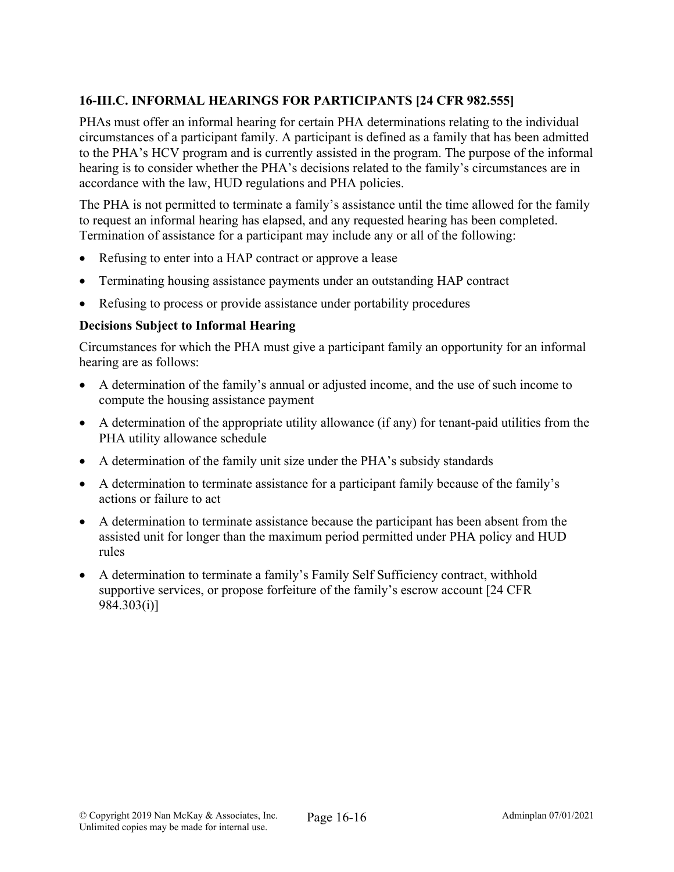# **16-III.C. INFORMAL HEARINGS FOR PARTICIPANTS [24 CFR 982.555]**

PHAs must offer an informal hearing for certain PHA determinations relating to the individual circumstances of a participant family. A participant is defined as a family that has been admitted to the PHA's HCV program and is currently assisted in the program. The purpose of the informal hearing is to consider whether the PHA's decisions related to the family's circumstances are in accordance with the law, HUD regulations and PHA policies.

The PHA is not permitted to terminate a family's assistance until the time allowed for the family to request an informal hearing has elapsed, and any requested hearing has been completed. Termination of assistance for a participant may include any or all of the following:

- Refusing to enter into a HAP contract or approve a lease
- Terminating housing assistance payments under an outstanding HAP contract
- Refusing to process or provide assistance under portability procedures

## **Decisions Subject to Informal Hearing**

Circumstances for which the PHA must give a participant family an opportunity for an informal hearing are as follows:

- A determination of the family's annual or adjusted income, and the use of such income to compute the housing assistance payment
- A determination of the appropriate utility allowance (if any) for tenant-paid utilities from the PHA utility allowance schedule
- A determination of the family unit size under the PHA's subsidy standards
- A determination to terminate assistance for a participant family because of the family's actions or failure to act
- A determination to terminate assistance because the participant has been absent from the assisted unit for longer than the maximum period permitted under PHA policy and HUD rules
- A determination to terminate a family's Family Self Sufficiency contract, withhold supportive services, or propose forfeiture of the family's escrow account [24 CFR 984.303(i)]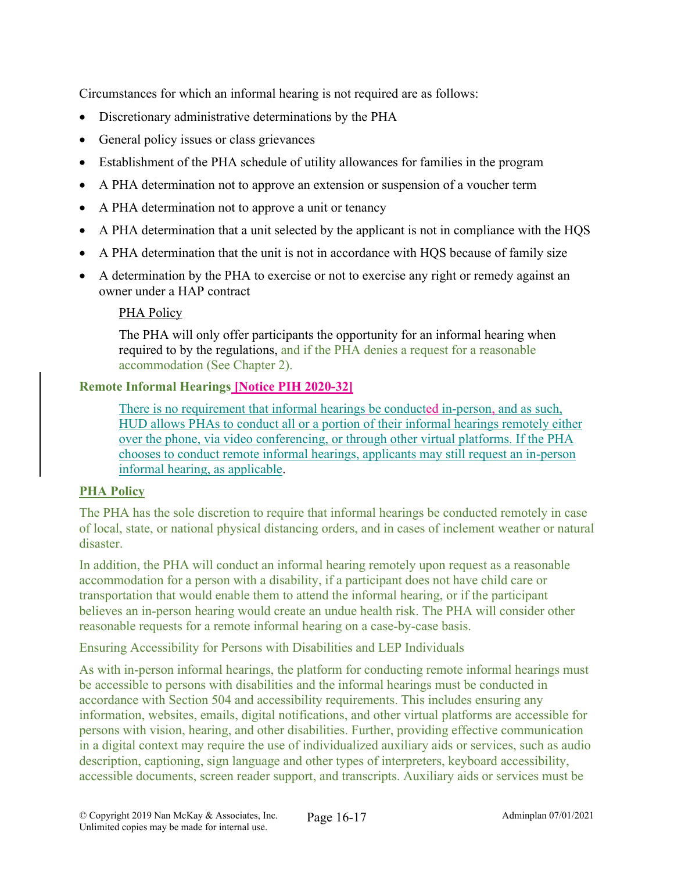Circumstances for which an informal hearing is not required are as follows:

- Discretionary administrative determinations by the PHA
- General policy issues or class grievances
- Establishment of the PHA schedule of utility allowances for families in the program
- A PHA determination not to approve an extension or suspension of a voucher term
- A PHA determination not to approve a unit or tenancy
- A PHA determination that a unit selected by the applicant is not in compliance with the HQS
- A PHA determination that the unit is not in accordance with HQS because of family size
- A determination by the PHA to exercise or not to exercise any right or remedy against an owner under a HAP contract

## PHA Policy

The PHA will only offer participants the opportunity for an informal hearing when required to by the regulations, and if the PHA denies a request for a reasonable accommodation (See Chapter 2).

## **Remote Informal Hearings [Notice PIH 2020-32]**

There is no requirement that informal hearings be conducted in-person, and as such, HUD allows PHAs to conduct all or a portion of their informal hearings remotely either over the phone, via video conferencing, or through other virtual platforms. If the PHA chooses to conduct remote informal hearings, applicants may still request an in-person informal hearing, as applicable.

## **PHA Policy**

The PHA has the sole discretion to require that informal hearings be conducted remotely in case of local, state, or national physical distancing orders, and in cases of inclement weather or natural disaster.

In addition, the PHA will conduct an informal hearing remotely upon request as a reasonable accommodation for a person with a disability, if a participant does not have child care or transportation that would enable them to attend the informal hearing, or if the participant believes an in-person hearing would create an undue health risk. The PHA will consider other reasonable requests for a remote informal hearing on a case-by-case basis.

Ensuring Accessibility for Persons with Disabilities and LEP Individuals

As with in-person informal hearings, the platform for conducting remote informal hearings must be accessible to persons with disabilities and the informal hearings must be conducted in accordance with Section 504 and accessibility requirements. This includes ensuring any information, websites, emails, digital notifications, and other virtual platforms are accessible for persons with vision, hearing, and other disabilities. Further, providing effective communication in a digital context may require the use of individualized auxiliary aids or services, such as audio description, captioning, sign language and other types of interpreters, keyboard accessibility, accessible documents, screen reader support, and transcripts. Auxiliary aids or services must be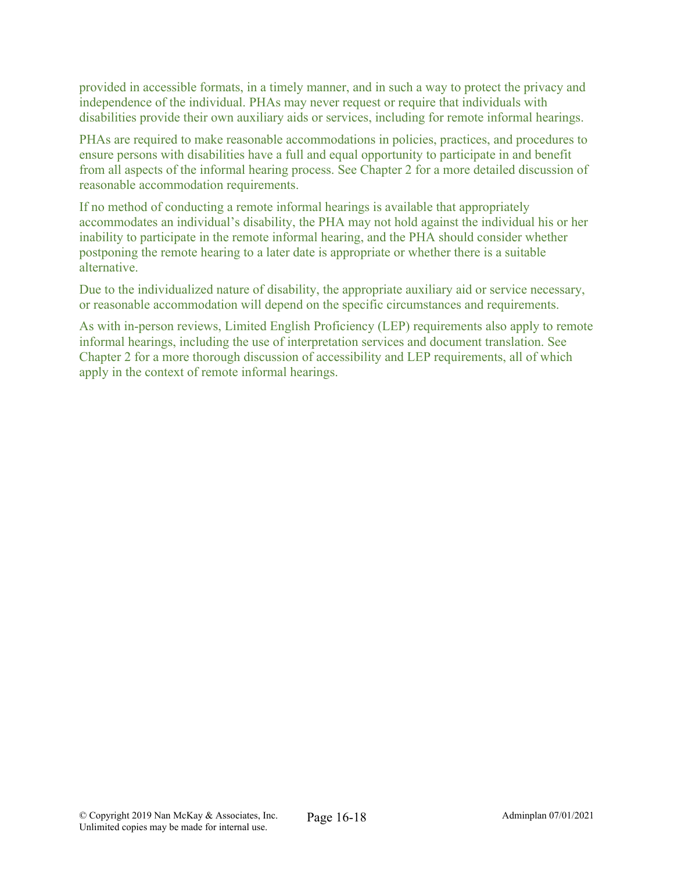provided in accessible formats, in a timely manner, and in such a way to protect the privacy and independence of the individual. PHAs may never request or require that individuals with disabilities provide their own auxiliary aids or services, including for remote informal hearings.

PHAs are required to make reasonable accommodations in policies, practices, and procedures to ensure persons with disabilities have a full and equal opportunity to participate in and benefit from all aspects of the informal hearing process. See Chapter 2 for a more detailed discussion of reasonable accommodation requirements.

If no method of conducting a remote informal hearings is available that appropriately accommodates an individual's disability, the PHA may not hold against the individual his or her inability to participate in the remote informal hearing, and the PHA should consider whether postponing the remote hearing to a later date is appropriate or whether there is a suitable alternative.

Due to the individualized nature of disability, the appropriate auxiliary aid or service necessary, or reasonable accommodation will depend on the specific circumstances and requirements.

As with in-person reviews, Limited English Proficiency (LEP) requirements also apply to remote informal hearings, including the use of interpretation services and document translation. See Chapter 2 for a more thorough discussion of accessibility and LEP requirements, all of which apply in the context of remote informal hearings.